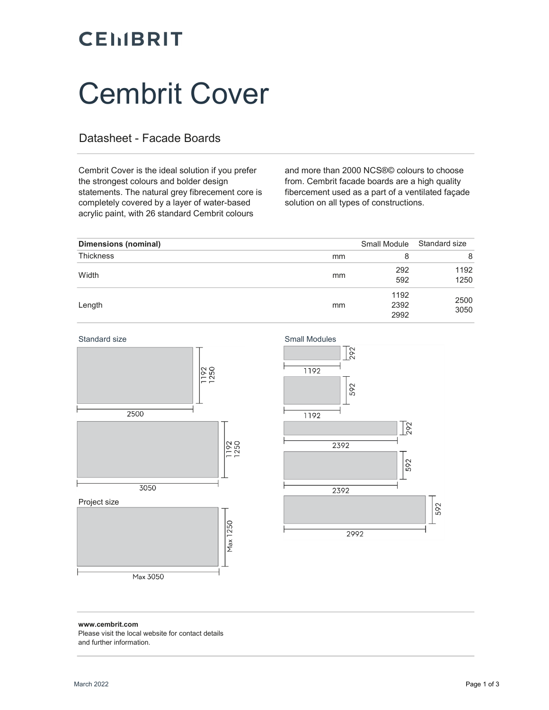## **CEMBRIT**

# Cembrit Cover

#### Datasheet - Facade Boards

Cembrit Cover is the ideal solution if you prefer the strongest colours and bolder design statements. The natural grey fibrecement core is completely covered by a layer of water-based acrylic paint, with 26 standard Cembrit colours

and more than 2000 NCS®© colours to choose from. Cembrit facade boards are a high quality fibercement used as a part of a ventilated façade solution on all types of constructions.

| Dimensions (nominal) |    | <b>Small Module</b>  | Standard size |
|----------------------|----|----------------------|---------------|
| <b>Thickness</b>     | mm | 8                    |               |
| Width                | mm | 292<br>592           | 1192<br>1250  |
| Length               | mm | 1192<br>2392<br>2992 | 2500<br>3050  |







#### www.cembrit.com

Please visit the local website for contact details and further information.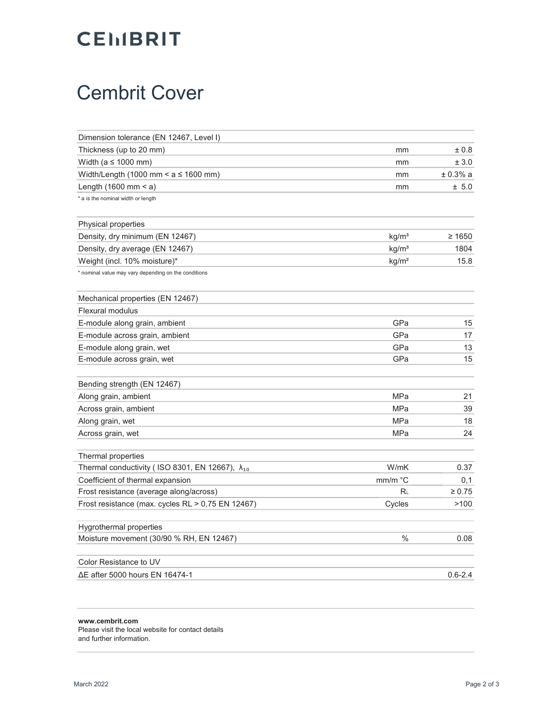#### **CEMBRIT**

#### Cembrit Cover

| Dimension tolerance (EN 12467, Level I)                    |                   |             |
|------------------------------------------------------------|-------------------|-------------|
| Thickness (up to 20 mm)                                    | mm                | ± 0.8       |
| Width (a $\leq$ 1000 mm)                                   | mm                | ± 3.0       |
| Width/Length (1000 mm < $a \le 1600$ mm)                   | mm                | ± 0.3% a    |
| Length $(1600$ mm $\leq a)$                                | mm                | ± 5.0       |
| * a is the nominal width or length                         |                   |             |
| Physical properties                                        |                   |             |
| Density, dry minimum (EN 12467)                            | kg/m <sup>3</sup> | $\geq 1650$ |
| Density, dry average (EN 12467)                            | kg/m <sup>3</sup> | 1804        |
| Weight (incl. 10% moisture)*                               | kg/m <sup>2</sup> | 15.8        |
| * nominal value may vary depending on the conditions       |                   |             |
| Mechanical properties (EN 12467)                           |                   |             |
| <b>Flexural modulus</b>                                    |                   |             |
| E-module along grain, ambient                              | GPa               | 15          |
| E-module across grain, ambient                             | GPa               | 17          |
| E-module along grain, wet                                  | GPa               | 13          |
| E-module across grain, wet                                 | GPa               | 15          |
| Bending strength (EN 12467)                                |                   |             |
| Along grain, ambient                                       | <b>MPa</b>        | 21          |
| Across grain, ambient                                      | <b>MPa</b>        | 39          |
| Along grain, wet                                           | MPa               | 18          |
| Across grain, wet                                          | MPa               | 24          |
| Thermal properties                                         |                   |             |
| Thermal conductivity ( ISO 8301, EN 12667), $\lambda_{10}$ | W/mK              | 0.37        |
| Coefficient of thermal expansion                           | mm/m °C           | 0,1         |
| Frost resistance (average along/across)                    | Rι                | $\geq 0.75$ |
| Frost resistance (max. cycles RL > 0,75 EN 12467)          | Cycles            | >100        |
| Hygrothermal properties                                    |                   |             |
| Moisture movement (30/90 % RH, EN 12467)                   | $\%$              | 0.08        |
| Color Resistance to UV                                     |                   |             |
| $\Delta$ E after 5000 hours EN 16474-1                     |                   | $0.6 - 2.4$ |

www.cembrit.com Please visit the local website for contact details and further information.